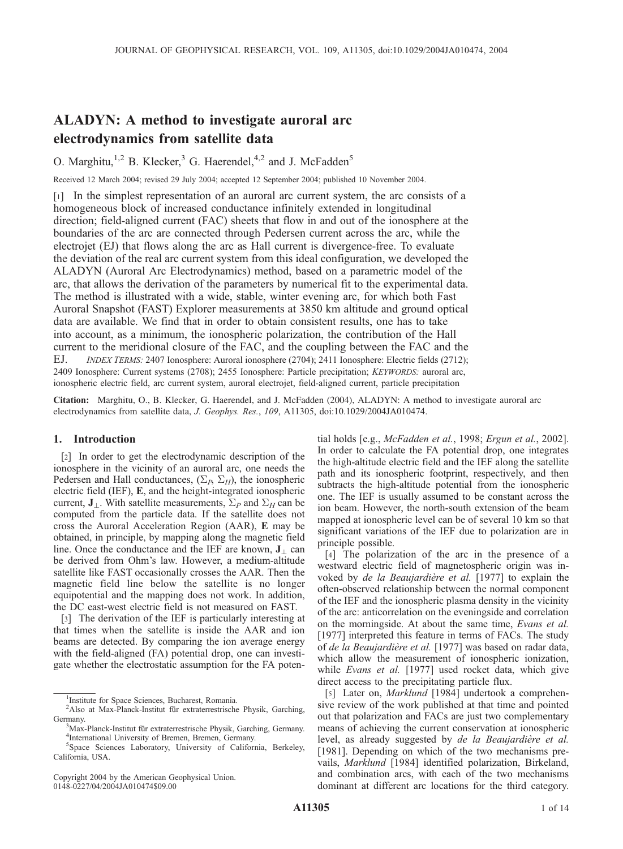# ALADYN: A method to investigate auroral arc electrodynamics from satellite data

O. Marghitu,<sup>1,2</sup> B. Klecker,<sup>3</sup> G. Haerendel,<sup>4,2</sup> and J. McFadden<sup>5</sup>

Received 12 March 2004; revised 29 July 2004; accepted 12 September 2004; published 10 November 2004.

[1] In the simplest representation of an auroral arc current system, the arc consists of a homogeneous block of increased conductance infinitely extended in longitudinal direction; field-aligned current (FAC) sheets that flow in and out of the ionosphere at the boundaries of the arc are connected through Pedersen current across the arc, while the electrojet (EJ) that flows along the arc as Hall current is divergence-free. To evaluate the deviation of the real arc current system from this ideal configuration, we developed the ALADYN (Auroral Arc Electrodynamics) method, based on a parametric model of the arc, that allows the derivation of the parameters by numerical fit to the experimental data. The method is illustrated with a wide, stable, winter evening arc, for which both Fast Auroral Snapshot (FAST) Explorer measurements at 3850 km altitude and ground optical data are available. We find that in order to obtain consistent results, one has to take into account, as a minimum, the ionospheric polarization, the contribution of the Hall current to the meridional closure of the FAC, and the coupling between the FAC and the EJ. INDEX TERMS: 2407 Ionosphere: Auroral ionosphere (2704); 2411 Ionosphere: Electric fields (2712); 2409 Ionosphere: Current systems (2708); 2455 Ionosphere: Particle precipitation; KEYWORDS: auroral arc, ionospheric electric field, arc current system, auroral electrojet, field-aligned current, particle precipitation

Citation: Marghitu, O., B. Klecker, G. Haerendel, and J. McFadden (2004), ALADYN: A method to investigate auroral arc electrodynamics from satellite data, J. Geophys. Res., 109, A11305, doi:10.1029/2004JA010474.

# 1. Introduction

[2] In order to get the electrodynamic description of the ionosphere in the vicinity of an auroral arc, one needs the Pedersen and Hall conductances,  $(\Sigma_B, \Sigma_H)$ , the ionospheric electric field (IEF), E, and the height-integrated ionospheric current,  $J_{\perp}$ . With satellite measurements,  $\Sigma_{P}$  and  $\Sigma_{H}$  can be computed from the particle data. If the satellite does not cross the Auroral Acceleration Region (AAR), E may be obtained, in principle, by mapping along the magnetic field line. Once the conductance and the IEF are known,  $J_{\perp}$  can be derived from Ohm's law. However, a medium-altitude satellite like FAST occasionally crosses the AAR. Then the magnetic field line below the satellite is no longer equipotential and the mapping does not work. In addition, the DC east-west electric field is not measured on FAST.

[3] The derivation of the IEF is particularly interesting at that times when the satellite is inside the AAR and ion beams are detected. By comparing the ion average energy with the field-aligned (FA) potential drop, one can investigate whether the electrostatic assumption for the FA poten-

Copyright 2004 by the American Geophysical Union. 0148-0227/04/2004JA010474\$09.00

tial holds [e.g., McFadden et al., 1998; Ergun et al., 2002]. In order to calculate the FA potential drop, one integrates the high-altitude electric field and the IEF along the satellite path and its ionospheric footprint, respectively, and then subtracts the high-altitude potential from the ionospheric one. The IEF is usually assumed to be constant across the ion beam. However, the north-south extension of the beam mapped at ionospheric level can be of several 10 km so that significant variations of the IEF due to polarization are in principle possible.

[4] The polarization of the arc in the presence of a westward electric field of magnetospheric origin was invoked by de la Beaujardière et al. [1977] to explain the often-observed relationship between the normal component of the IEF and the ionospheric plasma density in the vicinity of the arc: anticorrelation on the eveningside and correlation on the morningside. At about the same time, Evans et al. [1977] interpreted this feature in terms of FACs. The study of de la Beaujardière et al. [1977] was based on radar data, which allow the measurement of ionospheric ionization, while *Evans et al.* [1977] used rocket data, which give direct access to the precipitating particle flux.

[5] Later on, *Marklund* [1984] undertook a comprehensive review of the work published at that time and pointed out that polarization and FACs are just two complementary means of achieving the current conservation at ionospheric level, as already suggested by de la Beaujardière et al. [1981]. Depending on which of the two mechanisms prevails, Marklund [1984] identified polarization, Birkeland, and combination arcs, with each of the two mechanisms dominant at different arc locations for the third category.

<sup>&</sup>lt;sup>1</sup>Institute for Space Sciences, Bucharest, Romania.

<sup>&</sup>lt;sup>2</sup>Also at Max-Planck-Institut für extraterrestrische Physik, Garching, Germany.

<sup>&</sup>lt;sup>3</sup>Max-Planck-Institut für extraterrestrische Physik, Garching, Germany. <sup>4</sup>International University of Bremen, Bremen, Germany.

<sup>5</sup> Space Sciences Laboratory, University of California, Berkeley, California, USA.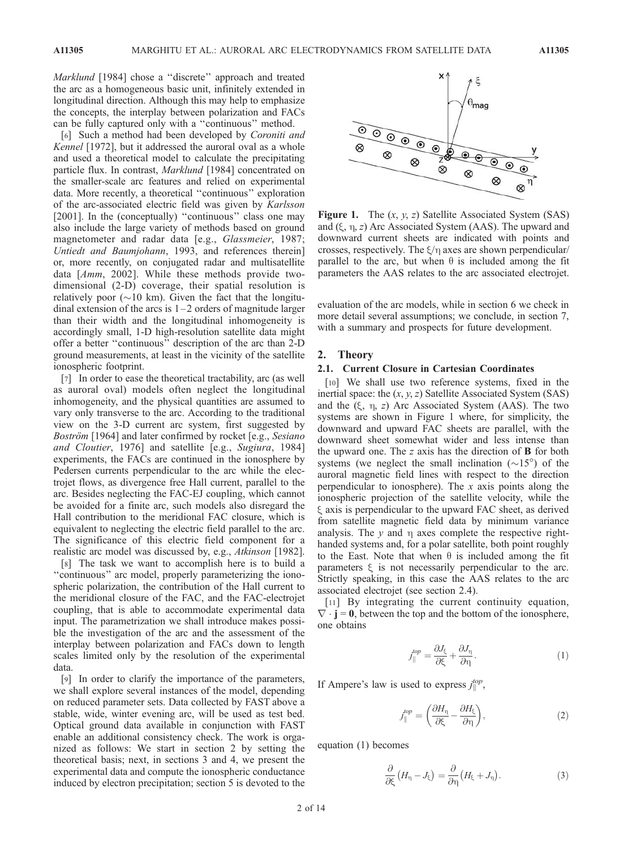Marklund [1984] chose a "discrete" approach and treated the arc as a homogeneous basic unit, infinitely extended in longitudinal direction. Although this may help to emphasize the concepts, the interplay between polarization and FACs can be fully captured only with a ''continuous'' method.

[6] Such a method had been developed by *Coroniti and* Kennel [1972], but it addressed the auroral oval as a whole and used a theoretical model to calculate the precipitating particle flux. In contrast, Marklund [1984] concentrated on the smaller-scale arc features and relied on experimental data. More recently, a theoretical ''continuous'' exploration of the arc-associated electric field was given by Karlsson [2001]. In the (conceptually) "continuous" class one may also include the large variety of methods based on ground magnetometer and radar data [e.g., *Glassmeier*, 1987; Untiedt and Baumjohann, 1993, and references therein] or, more recently, on conjugated radar and multisatellite data [Amm, 2002]. While these methods provide twodimensional (2-D) coverage, their spatial resolution is relatively poor  $(\sim 10 \text{ km})$ . Given the fact that the longitudinal extension of the arcs is  $1-2$  orders of magnitude larger than their width and the longitudinal inhomogeneity is accordingly small, 1-D high-resolution satellite data might offer a better ''continuous'' description of the arc than 2-D ground measurements, at least in the vicinity of the satellite ionospheric footprint.

[7] In order to ease the theoretical tractability, arc (as well as auroral oval) models often neglect the longitudinal inhomogeneity, and the physical quantities are assumed to vary only transverse to the arc. According to the traditional view on the 3-D current arc system, first suggested by Boström [1964] and later confirmed by rocket [e.g., Sesiano and Cloutier, 1976] and satellite [e.g., Sugiura, 1984] experiments, the FACs are continued in the ionosphere by Pedersen currents perpendicular to the arc while the electrojet flows, as divergence free Hall current, parallel to the arc. Besides neglecting the FAC-EJ coupling, which cannot be avoided for a finite arc, such models also disregard the Hall contribution to the meridional FAC closure, which is equivalent to neglecting the electric field parallel to the arc. The significance of this electric field component for a realistic arc model was discussed by, e.g., Atkinson [1982].

[8] The task we want to accomplish here is to build a ''continuous'' arc model, properly parameterizing the ionospheric polarization, the contribution of the Hall current to the meridional closure of the FAC, and the FAC-electrojet coupling, that is able to accommodate experimental data input. The parametrization we shall introduce makes possible the investigation of the arc and the assessment of the interplay between polarization and FACs down to length scales limited only by the resolution of the experimental data.

[9] In order to clarify the importance of the parameters, we shall explore several instances of the model, depending on reduced parameter sets. Data collected by FAST above a stable, wide, winter evening arc, will be used as test bed. Optical ground data available in conjunction with FAST enable an additional consistency check. The work is organized as follows: We start in section 2 by setting the theoretical basis; next, in sections 3 and 4, we present the experimental data and compute the ionospheric conductance induced by electron precipitation; section 5 is devoted to the



**Figure 1.** The  $(x, y, z)$  Satellite Associated System (SAS) and  $(\xi, \eta, z)$  Arc Associated System (AAS). The upward and downward current sheets are indicated with points and crosses, respectively. The  $\xi/\eta$  axes are shown perpendicular/ parallel to the arc, but when  $\theta$  is included among the fit parameters the AAS relates to the arc associated electrojet.

evaluation of the arc models, while in section 6 we check in more detail several assumptions; we conclude, in section 7, with a summary and prospects for future development.

#### 2. Theory

# 2.1. Current Closure in Cartesian Coordinates

[10] We shall use two reference systems, fixed in the inertial space: the  $(x, y, z)$  Satellite Associated System (SAS) and the  $(\xi, \eta, z)$  Arc Associated System (AAS). The two systems are shown in Figure 1 where, for simplicity, the downward and upward FAC sheets are parallel, with the downward sheet somewhat wider and less intense than the upward one. The z axis has the direction of  $\bf{B}$  for both systems (we neglect the small inclination  $(\sim 15^{\circ})$  of the auroral magnetic field lines with respect to the direction perpendicular to ionosphere). The  $x$  axis points along the ionospheric projection of the satellite velocity, while the  $\xi$  axis is perpendicular to the upward FAC sheet, as derived from satellite magnetic field data by minimum variance analysis. The  $y$  and  $\eta$  axes complete the respective righthanded systems and, for a polar satellite, both point roughly to the East. Note that when  $\theta$  is included among the fit parameters  $\xi$  is not necessarily perpendicular to the arc. Strictly speaking, in this case the AAS relates to the arc associated electrojet (see section 2.4).

[11] By integrating the current continuity equation,  $\nabla \cdot \mathbf{j} = 0$ , between the top and the bottom of the ionosphere, one obtains

$$
j_{\parallel}^{top} = \frac{\partial J_{\xi}}{\partial \xi} + \frac{\partial J_{\eta}}{\partial \eta}.
$$
 (1)

If Ampere's law is used to express  $j_{\parallel}^{top}$ ,

$$
j_{\parallel}^{top} = \left(\frac{\partial H_{\eta}}{\partial \xi} - \frac{\partial H_{\xi}}{\partial \eta}\right),\tag{2}
$$

equation (1) becomes

$$
\frac{\partial}{\partial \xi} \left( H_{\eta} - J_{\xi} \right) = \frac{\partial}{\partial \eta} \left( H_{\xi} + J_{\eta} \right). \tag{3}
$$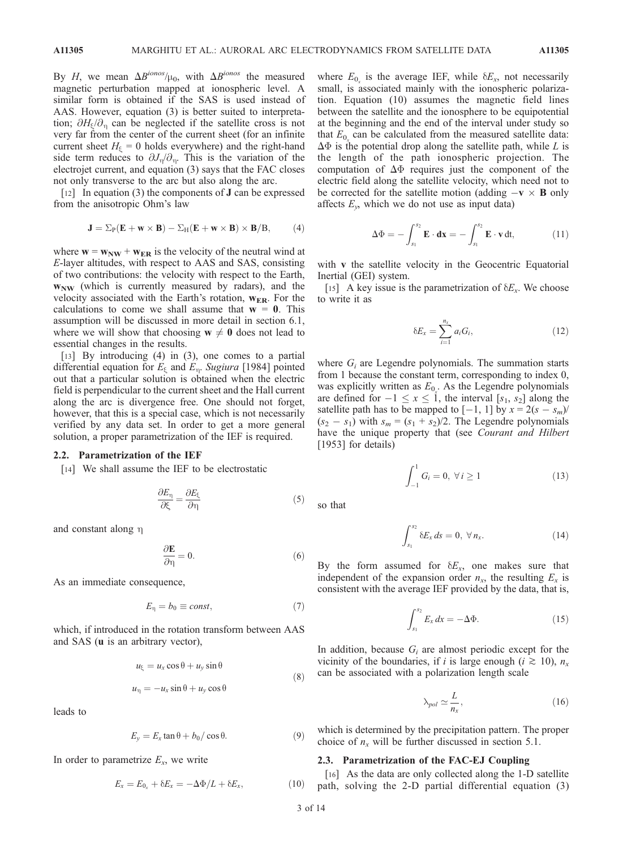By H, we mean  $\Delta B^{ionos}/\mu_0$ , with  $\Delta B^{ionos}$  the measured magnetic perturbation mapped at ionospheric level. A similar form is obtained if the SAS is used instead of AAS. However, equation (3) is better suited to interpretation;  $\partial H_{\xi}/\partial_{\eta}$  can be neglected if the satellite cross is not very far from the center of the current sheet (for an infinite current sheet  $H_{\xi} = 0$  holds everywhere) and the right-hand side term reduces to  $\partial J_{\eta}/\partial_{\eta}$ . This is the variation of the electrojet current, and equation (3) says that the FAC closes not only transverse to the arc but also along the arc.

[12] In equation (3) the components of **J** can be expressed from the anisotropic Ohm's law

$$
\mathbf{J} = \Sigma_P (\mathbf{E} + \mathbf{w} \times \mathbf{B}) - \Sigma_H (\mathbf{E} + \mathbf{w} \times \mathbf{B}) \times \mathbf{B} / B, \qquad (4)
$$

where  $w = w_{NW} + w_{ER}$  is the velocity of the neutral wind at E-layer altitudes, with respect to AAS and SAS, consisting of two contributions: the velocity with respect to the Earth,  $w_{NW}$  (which is currently measured by radars), and the velocity associated with the Earth's rotation,  $w_{ER}$ . For the calculations to come we shall assume that  $w = 0$ . This assumption will be discussed in more detail in section 6.1, where we will show that choosing  $w \neq 0$  does not lead to essential changes in the results.

[13] By introducing (4) in (3), one comes to a partial differential equation for  $E_{\xi}$  and  $E_{\eta}$ . Sugiura [1984] pointed out that a particular solution is obtained when the electric field is perpendicular to the current sheet and the Hall current along the arc is divergence free. One should not forget, however, that this is a special case, which is not necessarily verified by any data set. In order to get a more general solution, a proper parametrization of the IEF is required.

## 2.2. Parametrization of the IEF

[14] We shall assume the IEF to be electrostatic

$$
\frac{\partial E_{\eta}}{\partial \xi} = \frac{\partial E_{\xi}}{\partial \eta} \tag{5}
$$

and constant along  $\eta$ 

$$
\frac{\partial \mathbf{E}}{\partial \eta} = 0. \tag{6}
$$

As an immediate consequence,

$$
E_{\eta} = b_0 \equiv const,\tag{7}
$$

which, if introduced in the rotation transform between AAS and SAS (u is an arbitrary vector),

$$
u_{\xi} = u_x \cos \theta + u_y \sin \theta
$$
  

$$
u_{\eta} = -u_x \sin \theta + u_y \cos \theta
$$
 (8)

leads to

$$
E_y = E_x \tan \theta + b_0 / \cos \theta. \tag{9}
$$

In order to parametrize  $E_x$ , we write

$$
E_x = E_{0_x} + \delta E_x = -\Delta \Phi / L + \delta E_x, \qquad (10)
$$

where  $E_0$  is the average IEF, while  $\delta E_x$ , not necessarily small, is associated mainly with the ionospheric polarization. Equation (10) assumes the magnetic field lines between the satellite and the ionosphere to be equipotential at the beginning and the end of the interval under study so that  $E_0$  can be calculated from the measured satellite data:  $\Delta\Phi$  is the potential drop along the satellite path, while L is the length of the path ionospheric projection. The computation of  $\Delta\Phi$  requires just the component of the electric field along the satellite velocity, which need not to be corrected for the satellite motion (adding  $-\mathbf{v} \times \mathbf{B}$  only affects  $E_y$ , which we do not use as input data)

$$
\Delta \Phi = -\int_{s_1}^{s_2} \mathbf{E} \cdot \mathbf{dx} = -\int_{s_1}^{s_2} \mathbf{E} \cdot \mathbf{v} dt, \qquad (11)
$$

with **v** the satellite velocity in the Geocentric Equatorial Inertial (GEI) system.

[15] A key issue is the parametrization of  $\delta E_x$ . We choose to write it as

$$
\delta E_x = \sum_{i=1}^{n_x} a_i G_i, \qquad (12)
$$

where  $G_i$  are Legendre polynomials. The summation starts from 1 because the constant term, corresponding to index 0, was explicitly written as  $E_{0<sub>x</sub>}$ . As the Legendre polynomials are defined for  $-1 \le x \le 1$ , the interval  $[s_1, s_2]$  along the satellite path has to be mapped to  $[-1, 1]$  by  $x = 2(s - s_m)$ /  $(s_2 - s_1)$  with  $s_m = (s_1 + s_2)/2$ . The Legendre polynomials have the unique property that (see Courant and Hilbert [1953] for details)

$$
\int_{-1}^{1} G_i = 0, \ \forall \, i \ge 1 \tag{13}
$$

so that

$$
\int_{s_1}^{s_2} \delta E_x ds = 0, \ \forall n_x. \tag{14}
$$

By the form assumed for  $\delta E_x$ , one makes sure that independent of the expansion order  $n_x$ , the resulting  $E_x$  is consistent with the average IEF provided by the data, that is,

$$
\int_{s_1}^{s_2} E_x dx = -\Delta \Phi. \tag{15}
$$

In addition, because  $G_i$  are almost periodic except for the vicinity of the boundaries, if i is large enough ( $i \ge 10$ ),  $n_x$ can be associated with a polarization length scale

$$
\lambda_{pol} \simeq \frac{L}{n_x},\tag{16}
$$

which is determined by the precipitation pattern. The proper choice of  $n_x$  will be further discussed in section 5.1.

#### 2.3. Parametrization of the FAC-EJ Coupling

[16] As the data are only collected along the 1-D satellite path, solving the 2-D partial differential equation (3)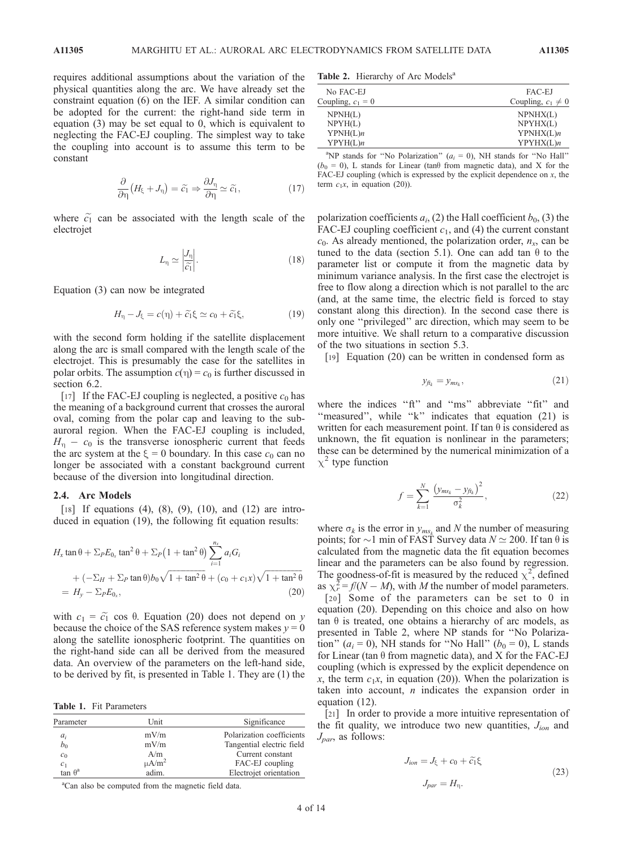requires additional assumptions about the variation of the physical quantities along the arc. We have already set the constraint equation (6) on the IEF. A similar condition can be adopted for the current: the right-hand side term in equation (3) may be set equal to 0, which is equivalent to neglecting the FAC-EJ coupling. The simplest way to take the coupling into account is to assume this term to be constant

$$
\frac{\partial}{\partial \eta} \left( H_{\xi} + J_{\eta} \right) = \tilde{c}_1 \Rightarrow \frac{\partial J_{\eta}}{\partial \eta} \simeq \tilde{c}_1, \tag{17}
$$

where  $\tilde{c}_1$  can be associated with the length scale of the electrojet

$$
L_{\eta} \simeq \left| \frac{J_{\eta}}{\hat{c}_1} \right|.
$$
 (18)

Equation (3) can now be integrated

$$
H_{\eta} - J_{\xi} = c(\eta) + \tilde{c_1} \xi \simeq c_0 + \tilde{c_1} \xi, \qquad (19)
$$

with the second form holding if the satellite displacement along the arc is small compared with the length scale of the electrojet. This is presumably the case for the satellites in polar orbits. The assumption  $c(\eta) = c_0$  is further discussed in section 6.2.

[17] If the FAC-EJ coupling is neglected, a positive  $c_0$  has the meaning of a background current that crosses the auroral oval, coming from the polar cap and leaving to the subauroral region. When the FAC-EJ coupling is included,  $H_{\eta} - c_0$  is the transverse ionospheric current that feeds the arc system at the  $\xi = 0$  boundary. In this case  $c_0$  can no longer be associated with a constant background current because of the diversion into longitudinal direction.

## 2.4. Arc Models

[18] If equations (4), (8), (9), (10), and (12) are introduced in equation (19), the following fit equation results:

$$
H_x \tan \theta + \sum_P E_{0_x} \tan^2 \theta + \sum_P (1 + \tan^2 \theta) \sum_{i=1}^{n_x} a_i G_i
$$
  
+ 
$$
(-\sum_H + \sum_P \tan \theta) b_0 \sqrt{1 + \tan^2 \theta} + (c_0 + c_1 x) \sqrt{1 + \tan^2 \theta}
$$
  
= 
$$
H_y - \sum_P E_{0_x},
$$
 (20)

with  $c_1 = \tilde{c_1}$  cos  $\theta$ . Equation (20) does not depend on y because the choice of the SAS reference system makes  $y = 0$ along the satellite ionospheric footprint. The quantities on the right-hand side can all be derived from the measured data. An overview of the parameters on the left-hand side, to be derived by fit, is presented in Table 1. They are (1) the

Table 1. Fit Parameters

| Parameter                  | Unit        | Significance              |
|----------------------------|-------------|---------------------------|
| $a_i$                      | mV/m        | Polarization coefficients |
| b <sub>0</sub>             | mV/m        | Tangential electric field |
| c <sub>0</sub>             | A/m         | Current constant          |
|                            | $\mu A/m^2$ | FAC-EJ coupling           |
| $c_1$ tan $\theta^{\rm a}$ | adim.       | Electrojet orientation    |

Table 2. Hierarchy of Arc Models<sup>a</sup>

| No FAC-EJ<br>Coupling, $c_1 = 0$ | FAC-EJ<br>Coupling, $c_1 \neq 0$ |
|----------------------------------|----------------------------------|
|                                  |                                  |
| NPMH(L)                          | NPNHX(L)                         |
| NPYH(L)                          | NPYHX(L)                         |
| YPNH(L)n                         | YPNHX(L)n                        |
| YPYH(L)n                         | YPYHX(L)n                        |
|                                  |                                  |

<sup>a</sup>NP stands for "No Polarization" ( $a_i = 0$ ), NH stands for "No Hall"  $(b_0 = 0)$ , L stands for Linear (tan $\theta$  from magnetic data), and X for the FAC-EJ coupling (which is expressed by the explicit dependence on  $x$ , the term  $c_1x$ , in equation (20)).

polarization coefficients  $a_i$ , (2) the Hall coefficient  $b_0$ , (3) the FAC-EJ coupling coefficient  $c_1$ , and (4) the current constant  $c_0$ . As already mentioned, the polarization order,  $n_x$ , can be tuned to the data (section 5.1). One can add tan  $\theta$  to the parameter list or compute it from the magnetic data by minimum variance analysis. In the first case the electrojet is free to flow along a direction which is not parallel to the arc (and, at the same time, the electric field is forced to stay constant along this direction). In the second case there is only one ''privileged'' arc direction, which may seem to be more intuitive. We shall return to a comparative discussion of the two situations in section 5.3.

[19] Equation (20) can be written in condensed form as

$$
y_{\hat{\mu}_k} = y_{ms_k},\tag{21}
$$

where the indices "ft" and "ms" abbreviate "fit" and "measured", while "k" indicates that equation (21) is written for each measurement point. If tan  $\theta$  is considered as unknown, the fit equation is nonlinear in the parameters; these can be determined by the numerical minimization of a  $\chi^2$  type function

$$
f = \sum_{k=1}^{N} \frac{(y_{ms_k} - y_{ft_k})^2}{\sigma_k^2},
$$
 (22)

where  $\sigma_k$  is the error in  $y_{ms_k}$  and N the number of measuring points; for  $\sim$ 1 min of FAST Survey data  $N \simeq$  200. If tan  $\theta$  is calculated from the magnetic data the fit equation becomes linear and the parameters can be also found by regression. The goodness-of-fit is measured by the reduced  $\chi^2$ , defined as  $\chi_r^2 = f/(N - M)$ , with M the number of model parameters.

[20] Some of the parameters can be set to 0 in equation (20). Depending on this choice and also on how tan  $\theta$  is treated, one obtains a hierarchy of arc models, as presented in Table 2, where NP stands for ''No Polarization" ( $a_i = 0$ ), NH stands for "No Hall" ( $b_0 = 0$ ), L stands for Linear (tan  $\theta$  from magnetic data), and X for the FAC-EJ coupling (which is expressed by the explicit dependence on x, the term  $c_1x$ , in equation (20)). When the polarization is taken into account,  $n$  indicates the expansion order in equation (12).

[21] In order to provide a more intuitive representation of the fit quality, we introduce two new quantities,  $J_{ion}$  and  $J_{par}$ , as follows:

$$
J_{ion} = J_{\xi} + c_0 + \tilde{c}_1 \xi
$$
  

$$
J_{par} = H_{\eta}.
$$
 (23)

<sup>a</sup>Can also be computed from the magnetic field data.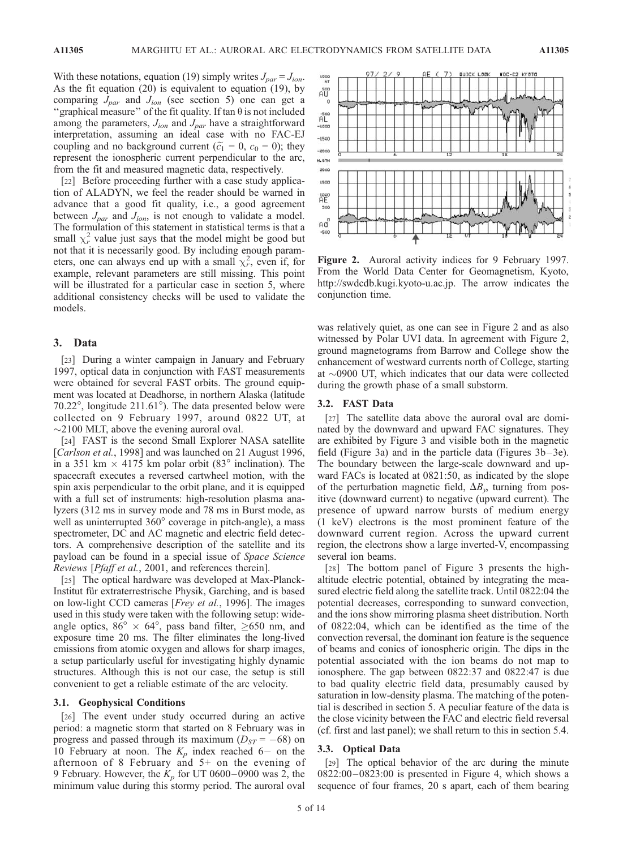With these notations, equation (19) simply writes  $J_{par} = J_{ion}$ . As the fit equation (20) is equivalent to equation (19), by comparing  $J_{par}$  and  $J_{ion}$  (see section 5) one can get a "graphical measure" of the fit quality. If tan  $\theta$  is not included among the parameters,  $J_{ion}$  and  $J_{par}$  have a straightforward interpretation, assuming an ideal case with no FAC-EJ coupling and no background current ( $\tilde{c}_1 = 0$ ,  $c_0 = 0$ ); they represent the ionospheric current perpendicular to the arc, from the fit and measured magnetic data, respectively.

[22] Before proceeding further with a case study application of ALADYN, we feel the reader should be warned in advance that a good fit quality, i.e., a good agreement between  $J_{par}$  and  $J_{ion}$ , is not enough to validate a model. The formulation of this statement in statistical terms is that a small  $\chi^2$  value just says that the model might be good but not that it is necessarily good. By including enough parameters, one can always end up with a small  $\chi^2$ , even if, for example, relevant parameters are still missing. This point will be illustrated for a particular case in section 5, where additional consistency checks will be used to validate the models.

# 3. Data

[23] During a winter campaign in January and February 1997, optical data in conjunction with FAST measurements were obtained for several FAST orbits. The ground equipment was located at Deadhorse, in northern Alaska (latitude 70.22 $^{\circ}$ , longitude 211.61 $^{\circ}$ ). The data presented below were collected on 9 February 1997, around 0822 UT, at  $\sim$ 2100 MLT, above the evening auroral oval.

[24] FAST is the second Small Explorer NASA satellite [Carlson et al., 1998] and was launched on 21 August 1996, in a 351 km  $\times$  4175 km polar orbit (83 $^{\circ}$  inclination). The spacecraft executes a reversed cartwheel motion, with the spin axis perpendicular to the orbit plane, and it is equipped with a full set of instruments: high-resolution plasma analyzers (312 ms in survey mode and 78 ms in Burst mode, as well as uninterrupted  $360^\circ$  coverage in pitch-angle), a mass spectrometer, DC and AC magnetic and electric field detectors. A comprehensive description of the satellite and its payload can be found in a special issue of Space Science Reviews [Pfaff et al., 2001, and references therein].

[25] The optical hardware was developed at Max-Planck-Institut für extraterrestrische Physik, Garching, and is based on low-light CCD cameras [Frey et al., 1996]. The images used in this study were taken with the following setup: wideangle optics,  $86^{\circ} \times 64^{\circ}$ , pass band filter,  $\geq 650$  nm, and exposure time 20 ms. The filter eliminates the long-lived emissions from atomic oxygen and allows for sharp images, a setup particularly useful for investigating highly dynamic structures. Although this is not our case, the setup is still convenient to get a reliable estimate of the arc velocity.

#### 3.1. Geophysical Conditions

[26] The event under study occurred during an active period: a magnetic storm that started on 8 February was in progress and passed through its maximum  $(D_{ST} = -68)$  on 10 February at noon. The  $K_p$  index reached 6– on the afternoon of 8 February and 5+ on the evening of 9 February. However, the  $K_p$  for UT 0600–0900 was 2, the minimum value during this stormy period. The auroral oval



Figure 2. Auroral activity indices for 9 February 1997. From the World Data Center for Geomagnetism, Kyoto, http://swdcdb.kugi.kyoto-u.ac.jp. The arrow indicates the conjunction time.

was relatively quiet, as one can see in Figure 2 and as also witnessed by Polar UVI data. In agreement with Figure 2, ground magnetograms from Barrow and College show the enhancement of westward currents north of College, starting at  $\sim$ 0900 UT, which indicates that our data were collected during the growth phase of a small substorm.

#### 3.2. FAST Data

[27] The satellite data above the auroral oval are dominated by the downward and upward FAC signatures. They are exhibited by Figure 3 and visible both in the magnetic field (Figure 3a) and in the particle data (Figures  $3b-3e$ ). The boundary between the large-scale downward and upward FACs is located at 0821:50, as indicated by the slope of the perturbation magnetic field,  $\Delta B_{\nu}$ , turning from positive (downward current) to negative (upward current). The presence of upward narrow bursts of medium energy (1 keV) electrons is the most prominent feature of the downward current region. Across the upward current region, the electrons show a large inverted-V, encompassing several ion beams.

[28] The bottom panel of Figure 3 presents the highaltitude electric potential, obtained by integrating the measured electric field along the satellite track. Until 0822:04 the potential decreases, corresponding to sunward convection, and the ions show mirroring plasma sheet distribution. North of 0822:04, which can be identified as the time of the convection reversal, the dominant ion feature is the sequence of beams and conics of ionospheric origin. The dips in the potential associated with the ion beams do not map to ionosphere. The gap between 0822:37 and 0822:47 is due to bad quality electric field data, presumably caused by saturation in low-density plasma. The matching of the potential is described in section 5. A peculiar feature of the data is the close vicinity between the FAC and electric field reversal (cf. first and last panel); we shall return to this in section 5.4.

## 3.3. Optical Data

[29] The optical behavior of the arc during the minute  $0822:00-0823:00$  is presented in Figure 4, which shows a sequence of four frames, 20 s apart, each of them bearing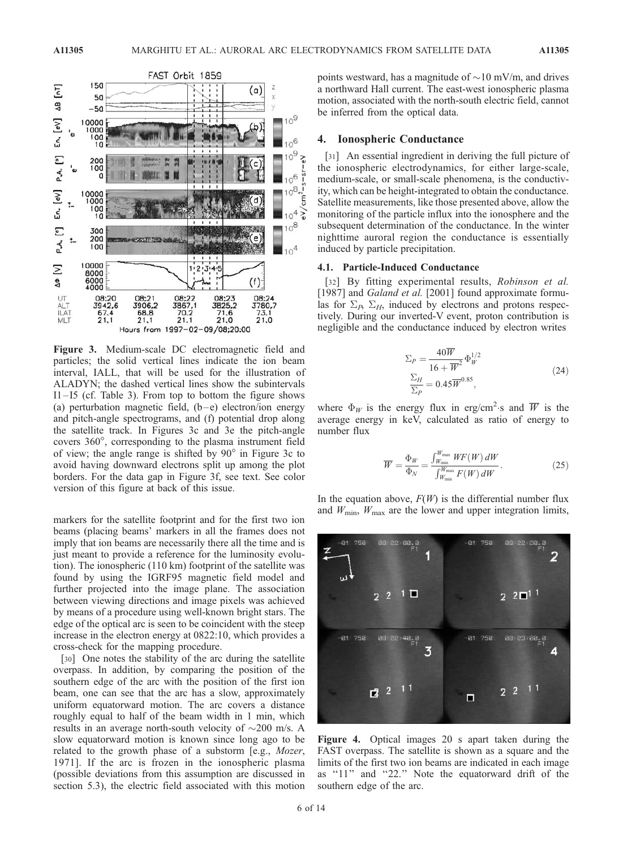

Figure 3. Medium-scale DC electromagnetic field and particles; the solid vertical lines indicate the ion beam interval, IALL, that will be used for the illustration of ALADYN; the dashed vertical lines show the subintervals  $I1-I5$  (cf. Table 3). From top to bottom the figure shows (a) perturbation magnetic field,  $(b-e)$  electron/ion energy and pitch-angle spectrograms, and (f) potential drop along the satellite track. In Figures 3c and 3e the pitch-angle covers 360°, corresponding to the plasma instrument field of view; the angle range is shifted by  $90^\circ$  in Figure 3c to avoid having downward electrons split up among the plot borders. For the data gap in Figure 3f, see text. See color version of this figure at back of this issue.

markers for the satellite footprint and for the first two ion beams (placing beams' markers in all the frames does not imply that ion beams are necessarily there all the time and is just meant to provide a reference for the luminosity evolution). The ionospheric (110 km) footprint of the satellite was found by using the IGRF95 magnetic field model and further projected into the image plane. The association between viewing directions and image pixels was achieved by means of a procedure using well-known bright stars. The edge of the optical arc is seen to be coincident with the steep increase in the electron energy at 0822:10, which provides a cross-check for the mapping procedure.

[30] One notes the stability of the arc during the satellite overpass. In addition, by comparing the position of the southern edge of the arc with the position of the first ion beam, one can see that the arc has a slow, approximately uniform equatorward motion. The arc covers a distance roughly equal to half of the beam width in 1 min, which results in an average north-south velocity of  $\sim$ 200 m/s. A slow equatorward motion is known since long ago to be related to the growth phase of a substorm [e.g., Mozer, 1971]. If the arc is frozen in the ionospheric plasma (possible deviations from this assumption are discussed in section 5.3), the electric field associated with this motion

points westward, has a magnitude of  $\sim$ 10 mV/m, and drives a northward Hall current. The east-west ionospheric plasma motion, associated with the north-south electric field, cannot be inferred from the optical data.

## 4. Ionospheric Conductance

[31] An essential ingredient in deriving the full picture of the ionospheric electrodynamics, for either large-scale, medium-scale, or small-scale phenomena, is the conductivity, which can be height-integrated to obtain the conductance. Satellite measurements, like those presented above, allow the monitoring of the particle influx into the ionosphere and the subsequent determination of the conductance. In the winter nighttime auroral region the conductance is essentially induced by particle precipitation.

#### 4.1. Particle-Induced Conductance

[32] By fitting experimental results, Robinson et al. [1987] and Galand et al. [2001] found approximate formulas for  $\Sigma_{P}$ ,  $\Sigma_{H}$ , induced by electrons and protons respectively. During our inverted-V event, proton contribution is negligible and the conductance induced by electron writes

$$
\Sigma_P = \frac{40\overline{W}}{16 + \overline{W}^2} \Phi_W^{1/2}
$$
  
\n
$$
\frac{\Sigma_H}{\Sigma_P} = 0.45\overline{W}^{0.85},
$$
\n(24)

where  $\Phi_W$  is the energy flux in erg/cm<sup>2</sup>·s and  $\overline{W}$  is the average energy in keV, calculated as ratio of energy to number flux

$$
\overline{W} = \frac{\Phi_W}{\Phi_N} = \frac{\int_{W_{\text{min}}}^{W_{\text{max}}} WF(W) \, dW}{\int_{W_{\text{min}}}^{W_{\text{max}}} F(W) \, dW}.
$$
\n(25)

In the equation above,  $F(W)$  is the differential number flux and  $W_{\text{min}}$ ,  $W_{\text{max}}$  are the lower and upper integration limits,



Figure 4. Optical images 20 s apart taken during the FAST overpass. The satellite is shown as a square and the limits of the first two ion beams are indicated in each image as ''11'' and ''22.'' Note the equatorward drift of the southern edge of the arc.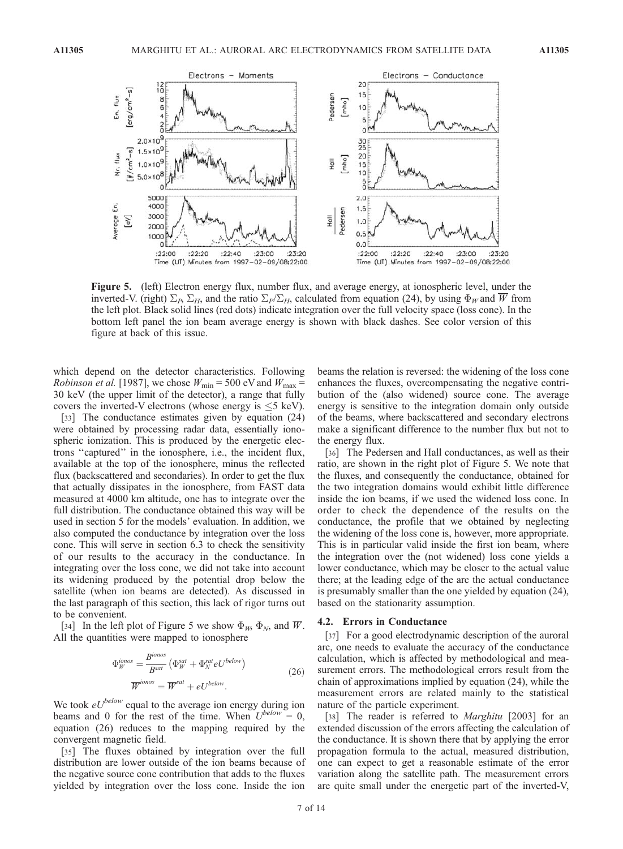

Figure 5. (left) Electron energy flux, number flux, and average energy, at ionospheric level, under the inverted-V. (right)  $\Sigma_B \Sigma_H$ , and the ratio  $\Sigma_P/\Sigma_H$ , calculated from equation (24), by using  $\Phi_W$  and W from the left plot. Black solid lines (red dots) indicate integration over the full velocity space (loss cone). In the bottom left panel the ion beam average energy is shown with black dashes. See color version of this figure at back of this issue.

which depend on the detector characteristics. Following *Robinson et al.* [1987], we chose  $W_{\text{min}} = 500$  eV and  $W_{\text{max}} =$ 30 keV (the upper limit of the detector), a range that fully covers the inverted-V electrons (whose energy is  $\leq$ 5 keV).

[33] The conductance estimates given by equation (24) were obtained by processing radar data, essentially ionospheric ionization. This is produced by the energetic electrons ''captured'' in the ionosphere, i.e., the incident flux, available at the top of the ionosphere, minus the reflected flux (backscattered and secondaries). In order to get the flux that actually dissipates in the ionosphere, from FAST data measured at 4000 km altitude, one has to integrate over the full distribution. The conductance obtained this way will be used in section 5 for the models' evaluation. In addition, we also computed the conductance by integration over the loss cone. This will serve in section 6.3 to check the sensitivity of our results to the accuracy in the conductance. In integrating over the loss cone, we did not take into account its widening produced by the potential drop below the satellite (when ion beams are detected). As discussed in the last paragraph of this section, this lack of rigor turns out to be convenient.

[34] In the left plot of Figure 5 we show  $\Phi_W$ ,  $\Phi_N$ , and W. All the quantities were mapped to ionosphere

$$
\Phi_W^{ionos} = \frac{B^{ionos}}{B^{sat}} \left( \Phi_W^{sat} + \Phi_N^{sat} eU^{below} \right)
$$
\n
$$
\overline{W}^{ionos} = \overline{W}^{sat} + eU^{below}.
$$
\n(26)

We took  $eU^{below}$  equal to the average ion energy during ion beams and 0 for the rest of the time. When  $U^{below} = 0$ , equation (26) reduces to the mapping required by the convergent magnetic field.

[35] The fluxes obtained by integration over the full distribution are lower outside of the ion beams because of the negative source cone contribution that adds to the fluxes yielded by integration over the loss cone. Inside the ion

beams the relation is reversed: the widening of the loss cone enhances the fluxes, overcompensating the negative contribution of the (also widened) source cone. The average energy is sensitive to the integration domain only outside of the beams, where backscattered and secondary electrons make a significant difference to the number flux but not to the energy flux.

[36] The Pedersen and Hall conductances, as well as their ratio, are shown in the right plot of Figure 5. We note that the fluxes, and consequently the conductance, obtained for the two integration domains would exhibit little difference inside the ion beams, if we used the widened loss cone. In order to check the dependence of the results on the conductance, the profile that we obtained by neglecting the widening of the loss cone is, however, more appropriate. This is in particular valid inside the first ion beam, where the integration over the (not widened) loss cone yields a lower conductance, which may be closer to the actual value there; at the leading edge of the arc the actual conductance is presumably smaller than the one yielded by equation (24), based on the stationarity assumption.

#### 4.2. Errors in Conductance

[37] For a good electrodynamic description of the auroral arc, one needs to evaluate the accuracy of the conductance calculation, which is affected by methodological and measurement errors. The methodological errors result from the chain of approximations implied by equation (24), while the measurement errors are related mainly to the statistical nature of the particle experiment.

[38] The reader is referred to *Marghitu* [2003] for an extended discussion of the errors affecting the calculation of the conductance. It is shown there that by applying the error propagation formula to the actual, measured distribution, one can expect to get a reasonable estimate of the error variation along the satellite path. The measurement errors are quite small under the energetic part of the inverted-V,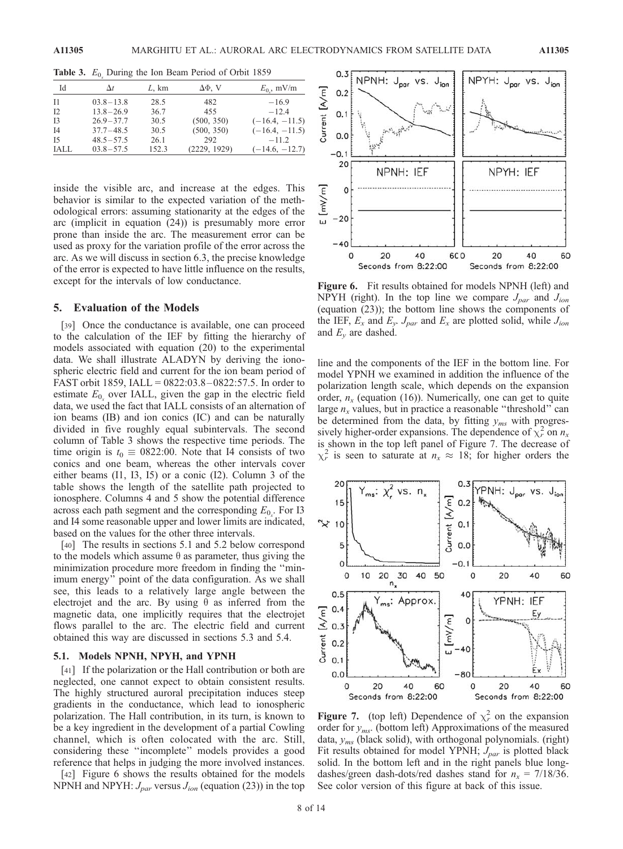| Id        | $\Delta t$    | L, km | ΔΦ, V        | $E_0$ , mV/m     |
|-----------|---------------|-------|--------------|------------------|
| - I 1     | $03.8 - 13.8$ | 28.5  | 482          | $-16.9$          |
| I2        | $13.8 - 26.9$ | 36.7  | 455          | $-12.4$          |
| <b>I3</b> | $26.9 - 37.7$ | 30.5  | (500, 350)   | $(-16.4, -11.5)$ |
| <b>I4</b> | $37.7 - 48.5$ | 30.5  | (500, 350)   | $(-16.4, -11.5)$ |
| I5        | $48.5 - 57.5$ | 26.1  | 292          | $-11.2$          |
| IALL      | $03.8 - 57.5$ | 152.3 | (2229, 1929) | $(-14.6, -12.7)$ |

**Table 3.**  $E_0$  During the Ion Beam Period of Orbit 1859

inside the visible arc, and increase at the edges. This behavior is similar to the expected variation of the methodological errors: assuming stationarity at the edges of the arc (implicit in equation (24)) is presumably more error prone than inside the arc. The measurement error can be used as proxy for the variation profile of the error across the arc. As we will discuss in section 6.3, the precise knowledge of the error is expected to have little influence on the results, except for the intervals of low conductance.

## 5. Evaluation of the Models

[39] Once the conductance is available, one can proceed to the calculation of the IEF by fitting the hierarchy of models associated with equation (20) to the experimental data. We shall illustrate ALADYN by deriving the ionospheric electric field and current for the ion beam period of FAST orbit 1859, IALL = 0822:03.8 – 0822:57.5. In order to estimate  $E_0$  over IALL, given the gap in the electric field data, we used the fact that IALL consists of an alternation of ion beams (IB) and ion conics (IC) and can be naturally divided in five roughly equal subintervals. The second column of Table 3 shows the respective time periods. The time origin is  $t_0 \equiv 0822:00$ . Note that I4 consists of two conics and one beam, whereas the other intervals cover either beams (I1, I3, I5) or a conic (I2). Column 3 of the table shows the length of the satellite path projected to ionosphere. Columns 4 and 5 show the potential difference across each path segment and the corresponding  $E_{0<sub>x</sub>}$ . For I3 and I4 some reasonable upper and lower limits are indicated, based on the values for the other three intervals.

[40] The results in sections 5.1 and 5.2 below correspond to the models which assume  $\theta$  as parameter, thus giving the minimization procedure more freedom in finding the ''minimum energy'' point of the data configuration. As we shall see, this leads to a relatively large angle between the electrojet and the arc. By using  $\theta$  as inferred from the magnetic data, one implicitly requires that the electrojet flows parallel to the arc. The electric field and current obtained this way are discussed in sections 5.3 and 5.4.

# 5.1. Models NPNH, NPYH, and YPNH

[41] If the polarization or the Hall contribution or both are neglected, one cannot expect to obtain consistent results. The highly structured auroral precipitation induces steep gradients in the conductance, which lead to ionospheric polarization. The Hall contribution, in its turn, is known to be a key ingredient in the development of a partial Cowling channel, which is often colocated with the arc. Still, considering these ''incomplete'' models provides a good reference that helps in judging the more involved instances.

[42] Figure 6 shows the results obtained for the models NPNH and NPYH:  $J_{par}$  versus  $J_{ion}$  (equation (23)) in the top



Figure 6. Fit results obtained for models NPNH (left) and NPYH (right). In the top line we compare  $J_{par}$  and  $J_{ion}$ (equation (23)); the bottom line shows the components of the IEF,  $E_x$  and  $E_y$ ,  $J_{par}$  and  $E_x$  are plotted solid, while  $J_{ion}$ and  $E_v$  are dashed.

line and the components of the IEF in the bottom line. For model YPNH we examined in addition the influence of the polarization length scale, which depends on the expansion order,  $n_x$  (equation (16)). Numerically, one can get to quite large  $n_x$  values, but in practice a reasonable "threshold" can be determined from the data, by fitting  $y_{ms}$  with progressively higher-order expansions. The dependence of  $\chi^2_r$  on  $n_x$ is shown in the top left panel of Figure 7. The decrease of  $\chi^2_r$  is seen to saturate at  $n_x \approx 18$ ; for higher orders the



**Figure 7.** (top left) Dependence of  $\chi^2$  on the expansion order for  $y_{ms}$ . (bottom left) Approximations of the measured data,  $y_{ms}$  (black solid), with orthogonal polynomials. (right) Fit results obtained for model YPNH;  $J_{par}$  is plotted black solid. In the bottom left and in the right panels blue longdashes/green dash-dots/red dashes stand for  $n_x = 7/18/36$ . See color version of this figure at back of this issue.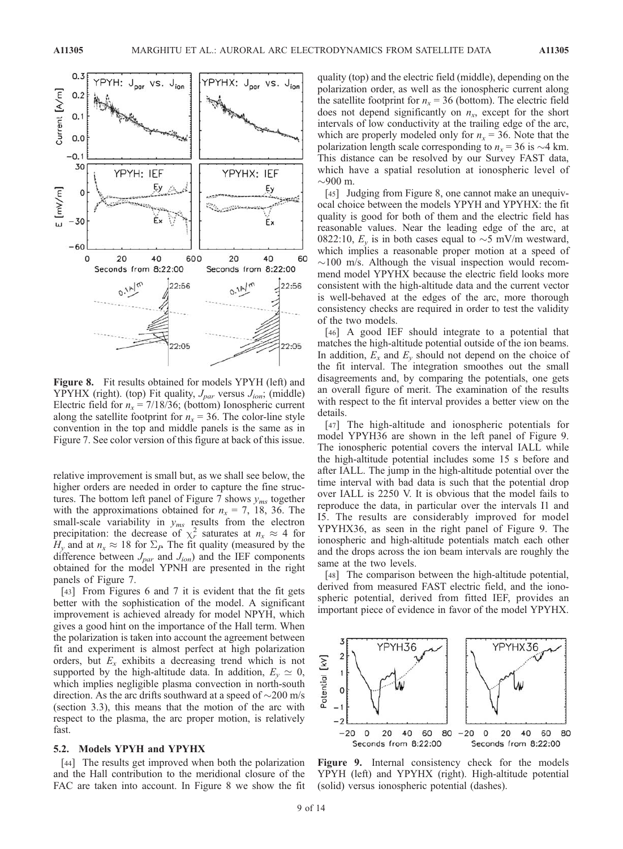

Figure 8. Fit results obtained for models YPYH (left) and YPYHX (right). (top) Fit quality,  $J_{par}$  versus  $J_{ion}$ ; (middle) Electric field for  $n_x = 7/18/36$ ; (bottom) Ionospheric current along the satellite footprint for  $n_x = 36$ . The color-line style convention in the top and middle panels is the same as in Figure 7. See color version of this figure at back of this issue.

relative improvement is small but, as we shall see below, the higher orders are needed in order to capture the fine structures. The bottom left panel of Figure 7 shows  $y_{ms}$  together with the approximations obtained for  $n_x = 7$ , 18, 36. The small-scale variability in  $y_{ms}$  results from the electron precipitation: the decrease of  $\chi^2_r$  saturates at  $n_x \approx 4$  for  $H_v$  and at  $n_x \approx 18$  for  $\Sigma_P$ . The fit quality (measured by the difference between  $J_{par}$  and  $J_{ion}$ ) and the IEF components obtained for the model YPNH are presented in the right panels of Figure 7.

[43] From Figures 6 and 7 it is evident that the fit gets better with the sophistication of the model. A significant improvement is achieved already for model NPYH, which gives a good hint on the importance of the Hall term. When the polarization is taken into account the agreement between fit and experiment is almost perfect at high polarization orders, but  $E_x$  exhibits a decreasing trend which is not supported by the high-altitude data. In addition,  $E_v \simeq 0$ , which implies negligible plasma convection in north-south direction. As the arc drifts southward at a speed of  $\sim$ 200 m/s (section 3.3), this means that the motion of the arc with respect to the plasma, the arc proper motion, is relatively fast.

#### 5.2. Models YPYH and YPYHX

[44] The results get improved when both the polarization and the Hall contribution to the meridional closure of the FAC are taken into account. In Figure 8 we show the fit quality (top) and the electric field (middle), depending on the polarization order, as well as the ionospheric current along the satellite footprint for  $n_x = 36$  (bottom). The electric field does not depend significantly on  $n_x$ , except for the short intervals of low conductivity at the trailing edge of the arc, which are properly modeled only for  $n_x = 36$ . Note that the polarization length scale corresponding to  $n_x = 36$  is  $\sim$  4 km. This distance can be resolved by our Survey FAST data, which have a spatial resolution at ionospheric level of  $\sim$ 900 m.

[45] Judging from Figure 8, one cannot make an unequivocal choice between the models YPYH and YPYHX: the fit quality is good for both of them and the electric field has reasonable values. Near the leading edge of the arc, at 0822:10,  $E_y$  is in both cases equal to  $\sim$ 5 mV/m westward, which implies a reasonable proper motion at a speed of  $\sim$ 100 m/s. Although the visual inspection would recommend model YPYHX because the electric field looks more consistent with the high-altitude data and the current vector is well-behaved at the edges of the arc, more thorough consistency checks are required in order to test the validity of the two models.

[46] A good IEF should integrate to a potential that matches the high-altitude potential outside of the ion beams. In addition,  $E_x$  and  $E_y$  should not depend on the choice of the fit interval. The integration smoothes out the small disagreements and, by comparing the potentials, one gets an overall figure of merit. The examination of the results with respect to the fit interval provides a better view on the details.

[47] The high-altitude and ionospheric potentials for model YPYH36 are shown in the left panel of Figure 9. The ionospheric potential covers the interval IALL while the high-altitude potential includes some 15 s before and after IALL. The jump in the high-altitude potential over the time interval with bad data is such that the potential drop over IALL is 2250 V. It is obvious that the model fails to reproduce the data, in particular over the intervals I1 and I5. The results are considerably improved for model YPYHX36, as seen in the right panel of Figure 9. The ionospheric and high-altitude potentials match each other and the drops across the ion beam intervals are roughly the same at the two levels.

[48] The comparison between the high-altitude potential, derived from measured FAST electric field, and the ionospheric potential, derived from fitted IEF, provides an important piece of evidence in favor of the model YPYHX.



Figure 9. Internal consistency check for the models YPYH (left) and YPYHX (right). High-altitude potential (solid) versus ionospheric potential (dashes).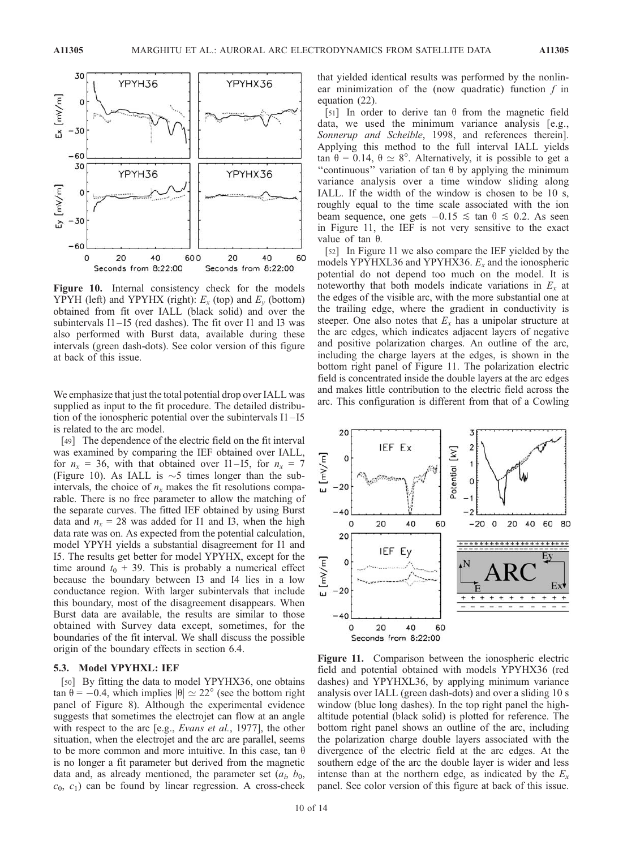

Figure 10. Internal consistency check for the models YPYH (left) and YPYHX (right):  $E_x$  (top) and  $E_y$  (bottom) obtained from fit over IALL (black solid) and over the subintervals I1-I5 (red dashes). The fit over I1 and I3 was also performed with Burst data, available during these intervals (green dash-dots). See color version of this figure at back of this issue.

We emphasize that just the total potential drop over IALL was supplied as input to the fit procedure. The detailed distribution of the ionospheric potential over the subintervals I1 – I5 is related to the arc model.

[49] The dependence of the electric field on the fit interval was examined by comparing the IEF obtained over IALL, for  $n_x = 36$ , with that obtained over I1–I5, for  $n_x = 7$ (Figure 10). As IALL is  $\sim$ 5 times longer than the subintervals, the choice of  $n_x$  makes the fit resolutions comparable. There is no free parameter to allow the matching of the separate curves. The fitted IEF obtained by using Burst data and  $n_x = 28$  was added for I1 and I3, when the high data rate was on. As expected from the potential calculation, model YPYH yields a substantial disagreement for I1 and I5. The results get better for model YPYHX, except for the time around  $t_0$  + 39. This is probably a numerical effect because the boundary between I3 and I4 lies in a low conductance region. With larger subintervals that include this boundary, most of the disagreement disappears. When Burst data are available, the results are similar to those obtained with Survey data except, sometimes, for the boundaries of the fit interval. We shall discuss the possible origin of the boundary effects in section 6.4.

# 5.3. Model YPYHXL: IEF

[50] By fitting the data to model YPYHX36, one obtains tan  $\theta = -0.4$ , which implies  $|\theta| \simeq 22^{\circ}$  (see the bottom right panel of Figure 8). Although the experimental evidence suggests that sometimes the electrojet can flow at an angle with respect to the arc [e.g., *Evans et al.*, 1977], the other situation, when the electrojet and the arc are parallel, seems to be more common and more intuitive. In this case, tan  $\theta$ is no longer a fit parameter but derived from the magnetic data and, as already mentioned, the parameter set  $(a_i, b_0,$  $c_0$ ,  $c_1$ ) can be found by linear regression. A cross-check that yielded identical results was performed by the nonlinear minimization of the (now quadratic) function  $f$  in equation (22).

[51] In order to derive tan  $\theta$  from the magnetic field data, we used the minimum variance analysis [e.g., Sonnerup and Scheible, 1998, and references therein]. Applying this method to the full interval IALL yields tan  $\theta = 0.14$ ,  $\theta \simeq 8^\circ$ . Alternatively, it is possible to get a "continuous" variation of tan  $\theta$  by applying the minimum variance analysis over a time window sliding along IALL. If the width of the window is chosen to be 10 s, roughly equal to the time scale associated with the ion beam sequence, one gets  $-0.15 \le \tan \theta \le 0.2$ . As seen in Figure 11, the IEF is not very sensitive to the exact value of tan  $\theta$ .

[52] In Figure 11 we also compare the IEF yielded by the models YPYHXL36 and YPYHX36.  $E<sub>x</sub>$  and the ionospheric potential do not depend too much on the model. It is noteworthy that both models indicate variations in  $E_x$  at the edges of the visible arc, with the more substantial one at the trailing edge, where the gradient in conductivity is steeper. One also notes that  $E_x$  has a unipolar structure at the arc edges, which indicates adjacent layers of negative and positive polarization charges. An outline of the arc, including the charge layers at the edges, is shown in the bottom right panel of Figure 11. The polarization electric field is concentrated inside the double layers at the arc edges and makes little contribution to the electric field across the arc. This configuration is different from that of a Cowling



Figure 11. Comparison between the ionospheric electric field and potential obtained with models YPYHX36 (red dashes) and YPYHXL36, by applying minimum variance analysis over IALL (green dash-dots) and over a sliding 10 s window (blue long dashes). In the top right panel the highaltitude potential (black solid) is plotted for reference. The bottom right panel shows an outline of the arc, including the polarization charge double layers associated with the divergence of the electric field at the arc edges. At the southern edge of the arc the double layer is wider and less intense than at the northern edge, as indicated by the  $E_x$ panel. See color version of this figure at back of this issue.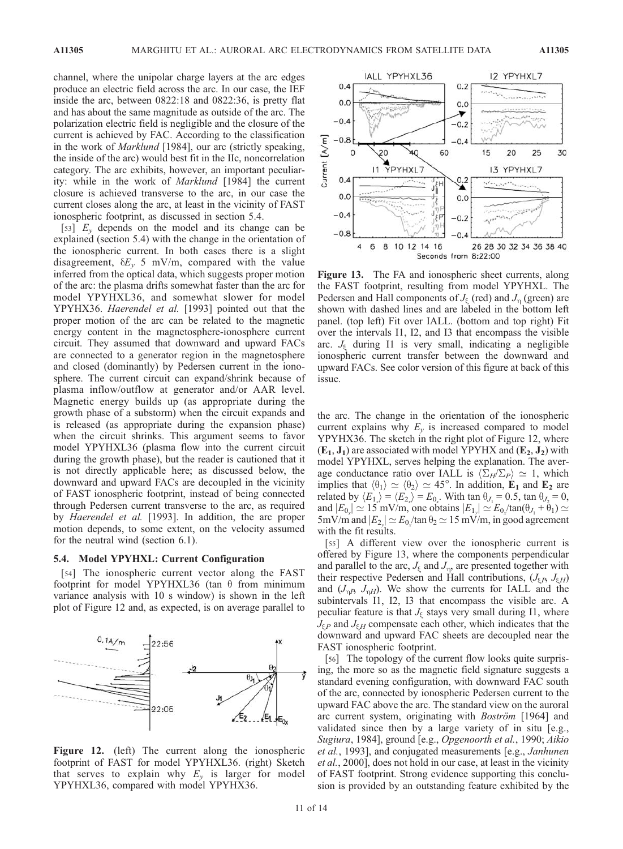channel, where the unipolar charge layers at the arc edges produce an electric field across the arc. In our case, the IEF inside the arc, between 0822:18 and 0822:36, is pretty flat and has about the same magnitude as outside of the arc. The polarization electric field is negligible and the closure of the current is achieved by FAC. According to the classification in the work of Marklund [1984], our arc (strictly speaking, the inside of the arc) would best fit in the IIc, noncorrelation category. The arc exhibits, however, an important peculiarity: while in the work of *Marklund* [1984] the current closure is achieved transverse to the arc, in our case the current closes along the arc, at least in the vicinity of FAST ionospheric footprint, as discussed in section 5.4.

[53]  $E_v$  depends on the model and its change can be explained (section 5.4) with the change in the orientation of the ionospheric current. In both cases there is a slight disagreement,  $\delta E_v$  5 mV/m, compared with the value inferred from the optical data, which suggests proper motion of the arc: the plasma drifts somewhat faster than the arc for model YPYHXL36, and somewhat slower for model YPYHX36. Haerendel et al. [1993] pointed out that the proper motion of the arc can be related to the magnetic energy content in the magnetosphere-ionosphere current circuit. They assumed that downward and upward FACs are connected to a generator region in the magnetosphere and closed (dominantly) by Pedersen current in the ionosphere. The current circuit can expand/shrink because of plasma inflow/outflow at generator and/or AAR level. Magnetic energy builds up (as appropriate during the growth phase of a substorm) when the circuit expands and is released (as appropriate during the expansion phase) when the circuit shrinks. This argument seems to favor model YPYHXL36 (plasma flow into the current circuit during the growth phase), but the reader is cautioned that it is not directly applicable here; as discussed below, the downward and upward FACs are decoupled in the vicinity of FAST ionospheric footprint, instead of being connected through Pedersen current transverse to the arc, as required by Haerendel et al. [1993]. In addition, the arc proper motion depends, to some extent, on the velocity assumed for the neutral wind (section 6.1).

#### 5.4. Model YPYHXL: Current Configuration

[54] The ionospheric current vector along the FAST footprint for model YPYHXL36 (tan  $\theta$  from minimum variance analysis with 10 s window) is shown in the left plot of Figure 12 and, as expected, is on average parallel to



Figure 12. (left) The current along the ionospheric footprint of FAST for model YPYHXL36. (right) Sketch that serves to explain why  $E<sub>v</sub>$  is larger for model YPYHXL36, compared with model YPYHX36.



Figure 13. The FA and ionospheric sheet currents, along the FAST footprint, resulting from model YPYHXL. The Pedersen and Hall components of  $J_{\epsilon}$  (red) and  $J_{\eta}$  (green) are shown with dashed lines and are labeled in the bottom left panel. (top left) Fit over IALL. (bottom and top right) Fit over the intervals I1, I2, and I3 that encompass the visible arc.  $J<sub>s</sub>$  during I1 is very small, indicating a negligible ionospheric current transfer between the downward and upward FACs. See color version of this figure at back of this issue.

the arc. The change in the orientation of the ionospheric current explains why  $E_y$  is increased compared to model YPYHX36. The sketch in the right plot of Figure 12, where  $(E_1, J_1)$  are associated with model YPYHX and  $(E_2, J_2)$  with model YPYHXL, serves helping the explanation. The average conductance ratio over IALL is  $\langle \Sigma_H/\Sigma_P \rangle \simeq 1$ , which implies that  $\langle \theta_1 \rangle \simeq \langle \theta_2 \rangle \simeq 45^\circ$ . In addition, E<sub>1</sub> and E<sub>2</sub> are related by  $\langle E_{1_x} \rangle = \langle E_{2_x} \rangle = E_{0_x}$ . With tan  $\theta_{J_1} = 0.5$ , tan  $\theta_{J_2} = 0$ , and  $|E_{0_x}| \simeq 15$  mV/m, one obtains  $|E_{1_y}| \simeq E_{0_x} / \tan(\theta_{J_1} + \theta_1) \simeq$ 5mV/m and  $|E_{2_y}| \simeq E_{0_x}/\tan\theta_2 \simeq 15$  mV/m, in good agreement with the fit results.

[55] A different view over the ionospheric current is offered by Figure 13, where the components perpendicular and parallel to the arc,  $J_{\xi}$  and  $J_{\eta}$ , are presented together with their respective Pedersen and Hall contributions,  $(J_{\xi P}, J_{\xi H})$ and  $(J_{\eta}R, J_{\eta}H)$ . We show the currents for IALL and the subintervals I1, I2, I3 that encompass the visible arc. A peculiar feature is that  $J_{\xi}$  stays very small during I1, where  $J_{\xi P}$  and  $J_{\xi H}$  compensate each other, which indicates that the downward and upward FAC sheets are decoupled near the FAST ionospheric footprint.

[56] The topology of the current flow looks quite surprising, the more so as the magnetic field signature suggests a standard evening configuration, with downward FAC south of the arc, connected by ionospheric Pedersen current to the upward FAC above the arc. The standard view on the auroral arc current system, originating with *Boström* [1964] and validated since then by a large variety of in situ [e.g., Sugiura, 1984], ground [e.g., Opgenoorth et al., 1990; Aikio et al., 1993], and conjugated measurements [e.g., Janhunen et al., 2000], does not hold in our case, at least in the vicinity of FAST footprint. Strong evidence supporting this conclusion is provided by an outstanding feature exhibited by the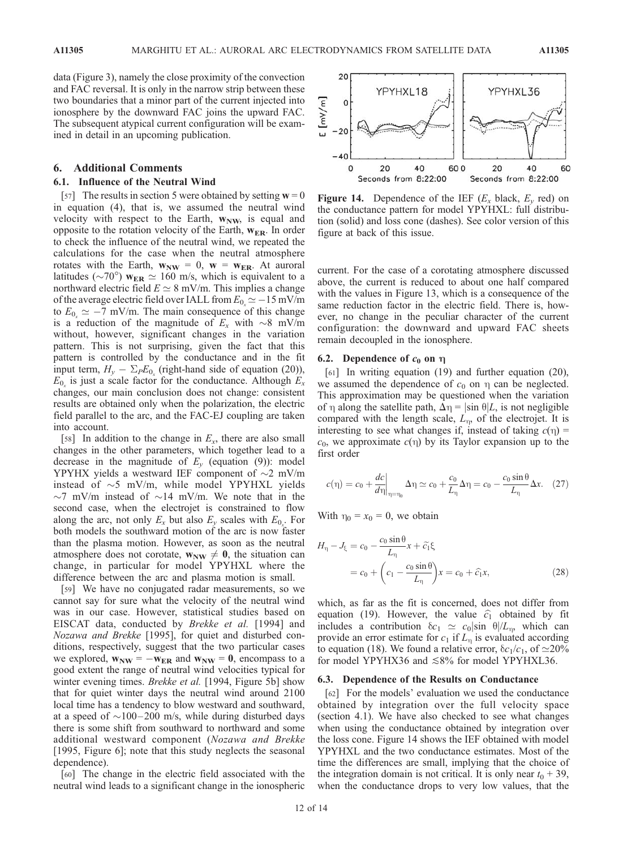data (Figure 3), namely the close proximity of the convection and FAC reversal. It is only in the narrow strip between these two boundaries that a minor part of the current injected into ionosphere by the downward FAC joins the upward FAC. The subsequent atypical current configuration will be examined in detail in an upcoming publication.

## 6. Additional Comments

# 6.1. Influence of the Neutral Wind

[57] The results in section 5 were obtained by setting  $w = 0$ in equation (4), that is, we assumed the neutral wind velocity with respect to the Earth,  $w_{NW}$ , is equal and opposite to the rotation velocity of the Earth,  $w_{ER}$ . In order to check the influence of the neutral wind, we repeated the calculations for the case when the neutral atmosphere rotates with the Earth,  $w_{NW} = 0$ ,  $w = w_{ER}$ . At auroral latitudes ( $\sim$ 70°)  $w_{ER} \simeq 160$  m/s, which is equivalent to a northward electric field  $E \simeq 8$  mV/m. This implies a change of the average electric field over IALL from  $E_{0_x} \simeq -15$  mV/m to  $E_{0_x} \simeq -7$  mV/m. The main consequence of this change is a reduction of the magnitude of  $E_x$  with  $\sim$ 8 mV/m without, however, significant changes in the variation pattern. This is not surprising, given the fact that this pattern is controlled by the conductance and in the fit input term,  $H_y - \Sigma_P E_{0_x}$  (right-hand side of equation (20)),  $E_0$  is just a scale factor for the conductance. Although  $E_x$ changes, our main conclusion does not change: consistent results are obtained only when the polarization, the electric field parallel to the arc, and the FAC-EJ coupling are taken into account.

[58] In addition to the change in  $E_x$ , there are also small changes in the other parameters, which together lead to a decrease in the magnitude of  $E_v$  (equation (9)): model YPYHX yields a westward IEF component of  $\sim$ 2 mV/m instead of  $\sim$ 5 mV/m, while model YPYHXL yields  $\sim$ 7 mV/m instead of  $\sim$ 14 mV/m. We note that in the second case, when the electrojet is constrained to flow along the arc, not only  $E_x$  but also  $E_y$  scales with  $E_{0_x}$ . For both models the southward motion of the arc is now faster than the plasma motion. However, as soon as the neutral atmosphere does not corotate,  $w_{NW} \neq 0$ , the situation can change, in particular for model YPYHXL where the difference between the arc and plasma motion is small.

[59] We have no conjugated radar measurements, so we cannot say for sure what the velocity of the neutral wind was in our case. However, statistical studies based on EISCAT data, conducted by Brekke et al. [1994] and Nozawa and Brekke [1995], for quiet and disturbed conditions, respectively, suggest that the two particular cases we explored,  $w_{NW} = -w_{ER}$  and  $w_{NW} = 0$ , encompass to a good extent the range of neutral wind velocities typical for winter evening times. *Brekke et al.* [1994, Figure 5b] show that for quiet winter days the neutral wind around 2100 local time has a tendency to blow westward and southward, at a speed of  $\sim$ 100–200 m/s, while during disturbed days there is some shift from southward to northward and some additional westward component (Nozawa and Brekke [1995, Figure 6]; note that this study neglects the seasonal dependence).

[60] The change in the electric field associated with the neutral wind leads to a significant change in the ionospheric



Figure 14. Dependence of the IEF  $(E_x \text{ black}, E_y \text{ red})$  on the conductance pattern for model YPYHXL: full distribution (solid) and loss cone (dashes). See color version of this figure at back of this issue.

current. For the case of a corotating atmosphere discussed above, the current is reduced to about one half compared with the values in Figure 13, which is a consequence of the same reduction factor in the electric field. There is, however, no change in the peculiar character of the current configuration: the downward and upward FAC sheets remain decoupled in the ionosphere.

## 6.2. Dependence of  $c_0$  on  $\eta$

[61] In writing equation (19) and further equation (20), we assumed the dependence of  $c_0$  on  $\eta$  can be neglected. This approximation may be questioned when the variation of  $\eta$  along the satellite path,  $\Delta \eta = |\sin \theta| L$ , is not negligible compared with the length scale,  $L_n$ , of the electrojet. It is interesting to see what changes if, instead of taking  $c(\eta)$  =  $c_0$ , we approximate  $c(\eta)$  by its Taylor expansion up to the first order

$$
c(\eta) = c_0 + \frac{dc}{d\eta}\bigg|_{\eta = \eta_0} \Delta \eta \simeq c_0 + \frac{c_0}{L_\eta} \Delta \eta = c_0 - \frac{c_0 \sin \theta}{L_\eta} \Delta x. \quad (27)
$$

With  $\eta_0 = x_0 = 0$ , we obtain

$$
H_{\eta} - J_{\xi} = c_0 - \frac{c_0 \sin \theta}{L_{\eta}} x + \tilde{c_1} \xi
$$
  
=  $c_0 + \left( c_1 - \frac{c_0 \sin \theta}{L_{\eta}} \right) x = c_0 + \hat{c_1} x,$  (28)

which, as far as the fit is concerned, does not differ from equation (19). However, the value  $\hat{c}_1$  obtained by fit includes a contribution  $\delta c_1 \simeq c_0 |\sin \theta| / L_n$ , which can provide an error estimate for  $c_1$  if  $L_n$  is evaluated according to equation (18). We found a relative error,  $\delta c_1/c_1$ , of  $\simeq 20\%$ for model YPYHX36 and  $\leq 8\%$  for model YPYHXL36.

#### 6.3. Dependence of the Results on Conductance

[62] For the models' evaluation we used the conductance obtained by integration over the full velocity space (section 4.1). We have also checked to see what changes when using the conductance obtained by integration over the loss cone. Figure 14 shows the IEF obtained with model YPYHXL and the two conductance estimates. Most of the time the differences are small, implying that the choice of the integration domain is not critical. It is only near  $t_0 + 39$ , when the conductance drops to very low values, that the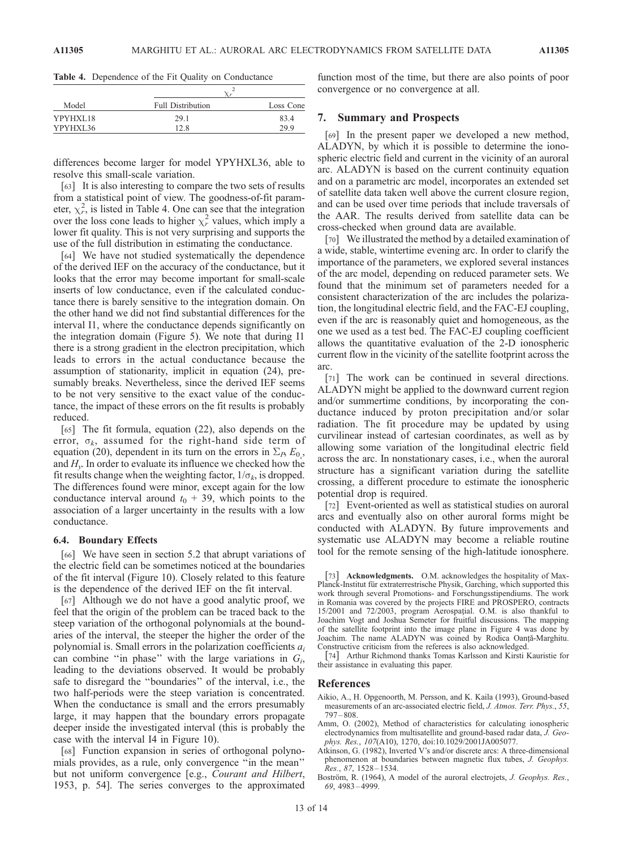Table 4. Dependence of the Fit Quality on Conductance

| Model    |                          |           |  |
|----------|--------------------------|-----------|--|
|          | <b>Full Distribution</b> | Loss Cone |  |
| YPYHXL18 | 29.1                     | 83.4      |  |
| YPYHXL36 | 12.8                     | 29.9      |  |

differences become larger for model YPYHXL36, able to resolve this small-scale variation.

[63] It is also interesting to compare the two sets of results from a statistical point of view. The goodness-of-fit parameter,  $\chi_r^2$ , is listed in Table 4. One can see that the integration over the loss cone leads to higher  $\chi^2$  values, which imply a lower fit quality. This is not very surprising and supports the use of the full distribution in estimating the conductance.

[64] We have not studied systematically the dependence of the derived IEF on the accuracy of the conductance, but it looks that the error may become important for small-scale inserts of low conductance, even if the calculated conductance there is barely sensitive to the integration domain. On the other hand we did not find substantial differences for the interval I1, where the conductance depends significantly on the integration domain (Figure 5). We note that during I1 there is a strong gradient in the electron precipitation, which leads to errors in the actual conductance because the assumption of stationarity, implicit in equation (24), presumably breaks. Nevertheless, since the derived IEF seems to be not very sensitive to the exact value of the conductance, the impact of these errors on the fit results is probably reduced.

[65] The fit formula, equation (22), also depends on the error,  $\sigma_k$ , assumed for the right-hand side term of equation (20), dependent in its turn on the errors in  $\Sigma_B E_{0}$ , and  $H<sub>v</sub>$ . In order to evaluate its influence we checked how the fit results change when the weighting factor,  $1/\sigma_k$ , is dropped. The differences found were minor, except again for the low conductance interval around  $t_0 + 39$ , which points to the association of a larger uncertainty in the results with a low conductance.

# 6.4. Boundary Effects

[66] We have seen in section 5.2 that abrupt variations of the electric field can be sometimes noticed at the boundaries of the fit interval (Figure 10). Closely related to this feature is the dependence of the derived IEF on the fit interval.

[67] Although we do not have a good analytic proof, we feel that the origin of the problem can be traced back to the steep variation of the orthogonal polynomials at the boundaries of the interval, the steeper the higher the order of the polynomial is. Small errors in the polarization coefficients  $a_i$ can combine "in phase" with the large variations in  $G_i$ , leading to the deviations observed. It would be probably safe to disregard the ''boundaries'' of the interval, i.e., the two half-periods were the steep variation is concentrated. When the conductance is small and the errors presumably large, it may happen that the boundary errors propagate deeper inside the investigated interval (this is probably the case with the interval I4 in Figure 10).

[68] Function expansion in series of orthogonal polynomials provides, as a rule, only convergence ''in the mean'' but not uniform convergence [e.g., Courant and Hilbert, 1953, p. 54]. The series converges to the approximated function most of the time, but there are also points of poor convergence or no convergence at all.

## 7. Summary and Prospects

[69] In the present paper we developed a new method, ALADYN, by which it is possible to determine the ionospheric electric field and current in the vicinity of an auroral arc. ALADYN is based on the current continuity equation and on a parametric arc model, incorporates an extended set of satellite data taken well above the current closure region, and can be used over time periods that include traversals of the AAR. The results derived from satellite data can be cross-checked when ground data are available.

[70] We illustrated the method by a detailed examination of a wide, stable, wintertime evening arc. In order to clarify the importance of the parameters, we explored several instances of the arc model, depending on reduced parameter sets. We found that the minimum set of parameters needed for a consistent characterization of the arc includes the polarization, the longitudinal electric field, and the FAC-EJ coupling, even if the arc is reasonably quiet and homogeneous, as the one we used as a test bed. The FAC-EJ coupling coefficient allows the quantitative evaluation of the 2-D ionospheric current flow in the vicinity of the satellite footprint across the arc.

[71] The work can be continued in several directions. ALADYN might be applied to the downward current region and/or summertime conditions, by incorporating the conductance induced by proton precipitation and/or solar radiation. The fit procedure may be updated by using curvilinear instead of cartesian coordinates, as well as by allowing some variation of the longitudinal electric field across the arc. In nonstationary cases, i.e., when the auroral structure has a significant variation during the satellite crossing, a different procedure to estimate the ionospheric potential drop is required.

[72] Event-oriented as well as statistical studies on auroral arcs and eventually also on other auroral forms might be conducted with ALADYN. By future improvements and systematic use ALADYN may become a reliable routine tool for the remote sensing of the high-latitude ionosphere.

[73] Acknowledgments. O.M. acknowledges the hospitality of Max-Planck-Institut für extraterrestrische Physik, Garching, which supported this work through several Promotions- and Forschungsstipendiums. The work in Romania was covered by the projects FIRE and PROSPERO, contracts 15/2001 and 72/2003, program Aerospatial. O.M. is also thankful to Joachim Vogt and Joshua Semeter for fruitful discussions. The mapping of the satellite footprint into the image plane in Figure 4 was done by Joachim. The name ALADYN was coined by Rodica Oanță-Marghitu. Constructive criticism from the referees is also acknowledged.

[74] Arthur Richmond thanks Tomas Karlsson and Kirsti Kauristie for their assistance in evaluating this paper.

## References

- Aikio, A., H. Opgenoorth, M. Persson, and K. Kaila (1993), Ground-based measurements of an arc-associated electric field, J. Atmos. Terr. Phys., 55, 797 – 808.
- Amm, O. (2002), Method of characteristics for calculating ionospheric electrodynamics from multisatellite and ground-based radar data, J. Geophys. Res., 107(A10), 1270, doi:10.1029/2001JA005077.
- Atkinson, G. (1982), Inverted V's and/or discrete arcs: A three-dimensional phenomenon at boundaries between magnetic flux tubes, J. Geophys. Res., 87, 1528 – 1534.
- Boström, R. (1964), A model of the auroral electrojets, J. Geophys. Res., 69, 4983 – 4999.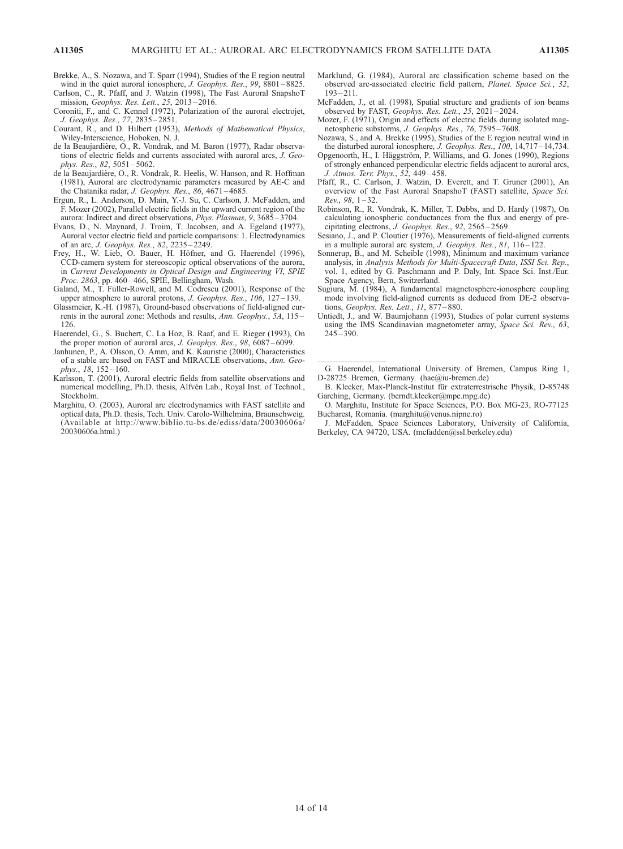Brekke, A., S. Nozawa, and T. Sparr (1994), Studies of the E region neutral wind in the quiet auroral ionosphere, J. Geophys. Res., 99, 8801-8825.

Carlson, C., R. Pfaff, and J. Watzin (1998), The Fast Auroral SnapshoT mission, Geophys. Res. Lett., 25, 2013 – 2016.

- Coroniti, F., and C. Kennel (1972), Polarization of the auroral electrojet, J. Geophys. Res., 77, 2835 – 2851.
- Courant, R., and D. Hilbert (1953), Methods of Mathematical Physics, Wiley-Interscience, Hoboken, N. J.
- de la Beaujardière, O., R. Vondrak, and M. Baron (1977), Radar observations of electric fields and currents associated with auroral arcs, J. Geophys. Res., 82, 5051 – 5062.
- de la Beaujardière, O., R. Vondrak, R. Heelis, W. Hanson, and R. Hoffman (1981), Auroral arc electrodynamic parameters measured by AE-C and the Chatanika radar, J. Geophys. Res., 86, 4671 – 4685.
- Ergun, R., L. Anderson, D. Main, Y.-J. Su, C. Carlson, J. McFadden, and F. Mozer (2002), Parallel electric fields in the upward current region of the aurora: Indirect and direct observations, Phys. Plasmas, 9, 3685 – 3704.
- Evans, D., N. Maynard, J. Troim, T. Jacobsen, and A. Egeland (1977), Auroral vector electric field and particle comparisons: 1. Electrodynamics of an arc, J. Geophys. Res., 82, 2235 – 2249.
- Frey, H., W. Lieb, O. Bauer, H. Höfner, and G. Haerendel (1996), CCD-camera system for stereoscopic optical observations of the aurora, in Current Developments in Optical Design and Engineering VI, SPIE Proc. 2863, pp. 460-466, SPIE, Bellingham, Wash.
- Galand, M., T. Fuller-Rowell, and M. Codrescu (2001), Response of the upper atmosphere to auroral protons, J. Geophys. Res., 106, 127-139.
- Glassmeier, K.-H. (1987), Ground-based observations of field-aligned currents in the auroral zone: Methods and results, Ann. Geophys., 5A, 115 – 126.
- Haerendel, G., S. Buchert, C. La Hoz, B. Raaf, and E. Rieger (1993), On the proper motion of auroral arcs, *J. Geophys. Res.*, 98, 6087–6099.
- Janhunen, P., A. Olsson, O. Amm, and K. Kauristie (2000), Characteristics of a stable arc based on FAST and MIRACLE observations, Ann. Geophys., 18, 152-160.
- Karlsson, T. (2001), Auroral electric fields from satellite observations and numerical modelling, Ph.D. thesis, Alfvén Lab., Royal Inst. of Technol., Stockholm.
- Marghitu, O. (2003), Auroral arc electrodynamics with FAST satellite and optical data, Ph.D. thesis, Tech. Univ. Carolo-Wilhelmina, Braunschweig. (Available at http://www.biblio.tu-bs.de/ediss/data/20030606a/ 20030606a.html.)
- Marklund, G. (1984), Auroral arc classification scheme based on the observed arc-associated electric field pattern, Planet. Space Sci., 32,  $193 - 211$ .
- McFadden, J., et al. (1998), Spatial structure and gradients of ion beams observed by FAST, Geophys. Res. Lett., 25, 2021 – 2024.
- Mozer, F. (1971), Origin and effects of electric fields during isolated magnetospheric substorms, J. Geophys. Res., 76, 7595 – 7608.
- Nozawa, S., and A. Brekke (1995), Studies of the E region neutral wind in the disturbed auroral ionosphere, J. Geophys. Res., 100, 14,717 – 14,734.
- Opgenoorth, H., I. Häggström, P. Williams, and G. Jones (1990), Regions of strongly enhanced perpendicular electric fields adjacent to auroral arcs, J. Atmos. Terr. Phys., 52, 449 – 458.
- Pfaff, R., C. Carlson, J. Watzin, D. Everett, and T. Gruner (2001), An overview of the Fast Auroral SnapshoT (FAST) satellite, Space Sci.  $Rev., 98, 1-32.$
- Robinson, R., R. Vondrak, K. Miller, T. Dabbs, and D. Hardy (1987), On calculating ionospheric conductances from the flux and energy of precipitating electrons, J. Geophys. Res., 92, 2565 – 2569.
- Sesiano, J., and P. Cloutier (1976), Measurements of field-aligned currents in a multiple auroral arc system, J. Geophys. Res., 81, 116-122.
- Sonnerup, B., and M. Scheible (1998), Minimum and maximum variance analysis, in Analysis Methods for Multi-Spacecraft Data, ISSI Sci. Rep., vol. 1, edited by G. Paschmann and P. Daly, Int. Space Sci. Inst./Eur. Space Agency, Bern, Switzerland.
- Sugiura, M. (1984), A fundamental magnetosphere-ionosphere coupling mode involving field-aligned currents as deduced from DE-2 observations, Geophys. Res. Lett., 11, 877 – 880.
- Untiedt, J., and W. Baumjohann (1993), Studies of polar current systems using the IMS Scandinavian magnetometer array, Space Sci. Rev., 63,  $245 - 390$ .

 $\overline{\phantom{a}}$  G. Haerendel, International University of Bremen, Campus Ring 1, D-28725 Bremen, Germany. (hae@iu-bremen.de)

- B. Klecker, Max-Planck-Institut für extraterrestrische Physik, D-85748 Garching, Germany. (berndt.klecker@mpe.mpg.de)
- O. Marghitu, Institute for Space Sciences, P.O. Box MG-23, RO-77125 Bucharest, Romania. (marghitu@venus.nipne.ro)
- J. McFadden, Space Sciences Laboratory, University of California, Berkeley, CA 94720, USA. (mcfadden@ssl.berkeley.edu)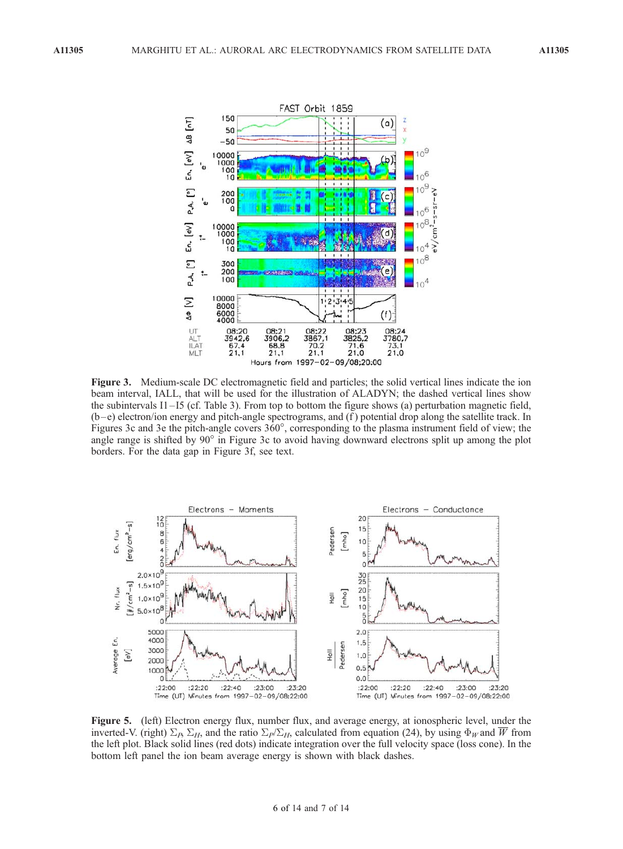

Figure 3. Medium-scale DC electromagnetic field and particles; the solid vertical lines indicate the ion beam interval, IALL, that will be used for the illustration of ALADYN; the dashed vertical lines show the subintervals I1 – I5 (cf. Table 3). From top to bottom the figure shows (a) perturbation magnetic field, (b –e) electron/ion energy and pitch-angle spectrograms, and (f ) potential drop along the satellite track. In Figures 3c and 3e the pitch-angle covers 360°, corresponding to the plasma instrument field of view; the angle range is shifted by 90° in Figure 3c to avoid having downward electrons split up among the plot borders. For the data gap in Figure 3f, see text.



Figure 5. (left) Electron energy flux, number flux, and average energy, at ionospheric level, under the inverted-V. (right)  $\Sigma_B$ ,  $\Sigma_H$ , and the ratio  $\Sigma_P/\Sigma_H$ , calculated from equation (24), by using  $\Phi_W$  and  $\overline{W}$  from the left plot. Black solid lines (red dots) indicate integration over the full velocity space (loss cone). In the bottom left panel the ion beam average energy is shown with black dashes.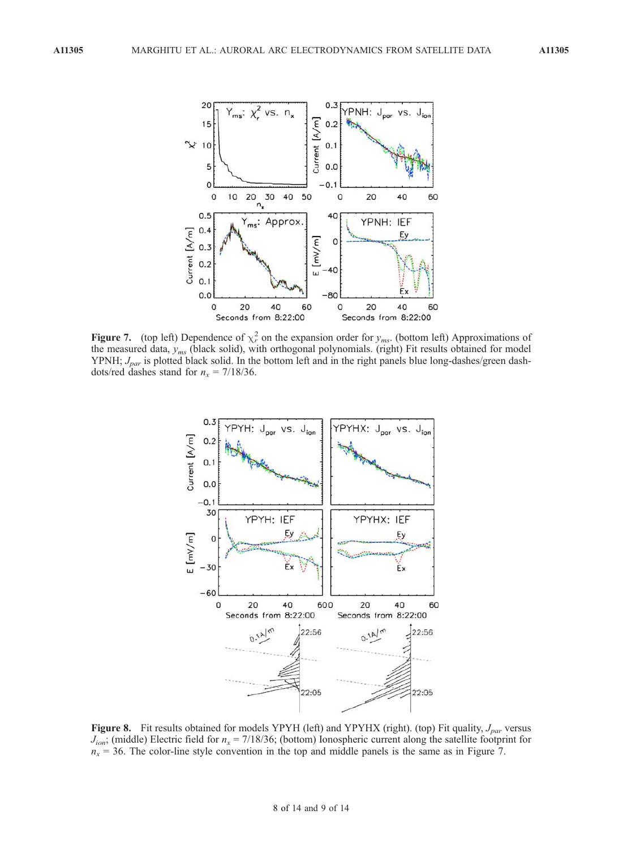

**Figure 7.** (top left) Dependence of  $\chi^2$  on the expansion order for  $y_{ms}$ . (bottom left) Approximations of the measured data,  $y_{ms}$  (black solid), with orthogonal polynomials. (right) Fit results obtained for model YPNH;  $J_{par}$  is plotted black solid. In the bottom left and in the right panels blue long-dashes/green dashdots/red dashes stand for  $n_x = 7/18/36$ .



Figure 8. Fit results obtained for models YPYH (left) and YPYHX (right). (top) Fit quality,  $J_{par}$  versus  $J_{ion}$ ; (middle) Electric field for  $n_x = 7/18/36$ ; (bottom) Ionospheric current along the satellite footprint for  $n_x = 36$ . The color-line style convention in the top and middle panels is the same as in Figure 7.